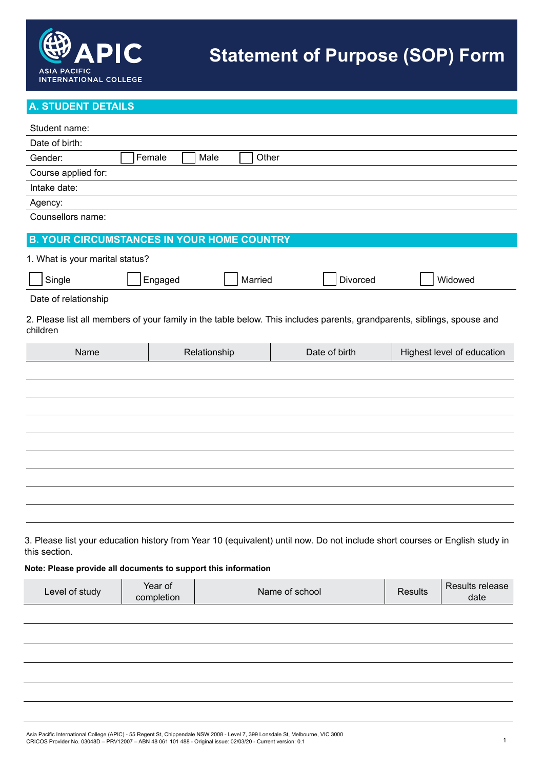

# **A. STUDENT DETAILS**

| Student name:                                                  |                       |               |                                                                                                                             |                |                            |
|----------------------------------------------------------------|-----------------------|---------------|-----------------------------------------------------------------------------------------------------------------------------|----------------|----------------------------|
| Date of birth:                                                 |                       |               |                                                                                                                             |                |                            |
| Gender:                                                        | Female                | Male<br>Other |                                                                                                                             |                |                            |
| Course applied for:                                            |                       |               |                                                                                                                             |                |                            |
| Intake date:                                                   |                       |               |                                                                                                                             |                |                            |
| Agency:                                                        |                       |               |                                                                                                                             |                |                            |
| Counsellors name:                                              |                       |               |                                                                                                                             |                |                            |
| <b>B. YOUR CIRCUMSTANCES IN YOUR HOME COUNTRY</b>              |                       |               |                                                                                                                             |                |                            |
| 1. What is your marital status?                                |                       |               |                                                                                                                             |                |                            |
| Single                                                         | Engaged               | Married       | Divorced                                                                                                                    |                | Widowed                    |
| Date of relationship                                           |                       |               |                                                                                                                             |                |                            |
| children                                                       |                       |               | 2. Please list all members of your family in the table below. This includes parents, grandparents, siblings, spouse and     |                |                            |
| Name                                                           |                       | Relationship  | Date of birth                                                                                                               |                | Highest level of education |
|                                                                |                       |               |                                                                                                                             |                |                            |
|                                                                |                       |               |                                                                                                                             |                |                            |
|                                                                |                       |               |                                                                                                                             |                |                            |
|                                                                |                       |               |                                                                                                                             |                |                            |
|                                                                |                       |               |                                                                                                                             |                |                            |
|                                                                |                       |               |                                                                                                                             |                |                            |
|                                                                |                       |               |                                                                                                                             |                |                            |
|                                                                |                       |               |                                                                                                                             |                |                            |
|                                                                |                       |               |                                                                                                                             |                |                            |
|                                                                |                       |               |                                                                                                                             |                |                            |
|                                                                |                       |               |                                                                                                                             |                |                            |
| this section.                                                  |                       |               | 3. Please list your education history from Year 10 (equivalent) until now. Do not include short courses or English study in |                |                            |
| Note: Please provide all documents to support this information |                       |               |                                                                                                                             |                |                            |
| Level of study                                                 | Year of<br>completion |               | Name of school                                                                                                              | <b>Results</b> | Results release<br>date    |
|                                                                |                       |               |                                                                                                                             |                |                            |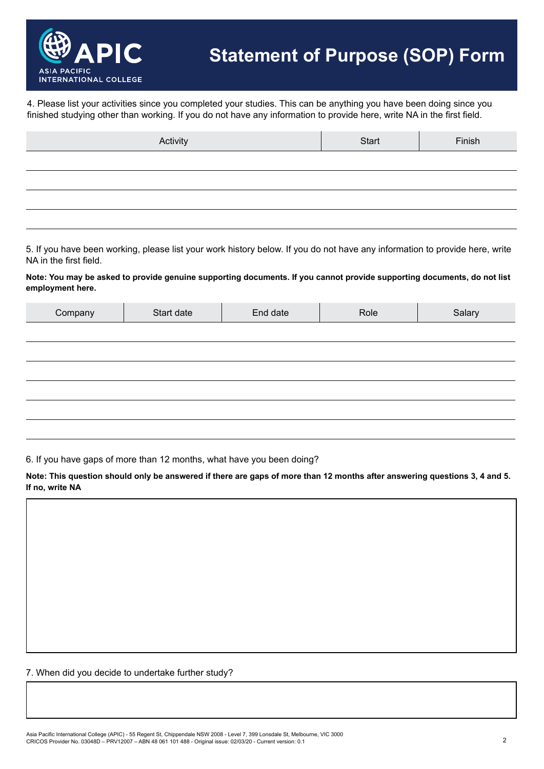

4. Please list your activities since you completed your studies. This can be anything you have been doing since you finished studying other than working. If you do not have any information to provide here, write NA in the first field.

| Activity | Start | Finish |
|----------|-------|--------|
|          |       |        |
|          |       |        |
|          |       |        |
|          |       |        |

5. If you have been working, please list your work history below. If you do not have any information to provide here, write NA in the first field.

**Note: You may be asked to provide genuine supporting documents. If you cannot provide supporting documents, do not list employment here.**

| Company | Start date | End date | Role | Salary |
|---------|------------|----------|------|--------|
|         |            |          |      |        |
|         |            |          |      |        |
|         |            |          |      |        |
|         |            |          |      |        |
|         |            |          |      |        |
|         |            |          |      |        |

6. If you have gaps of more than 12 months, what have you been doing?

**Note: This question should only be answered if there are gaps of more than 12 months after answering questions 3, 4 and 5. If no, write NA**

7. When did you decide to undertake further study?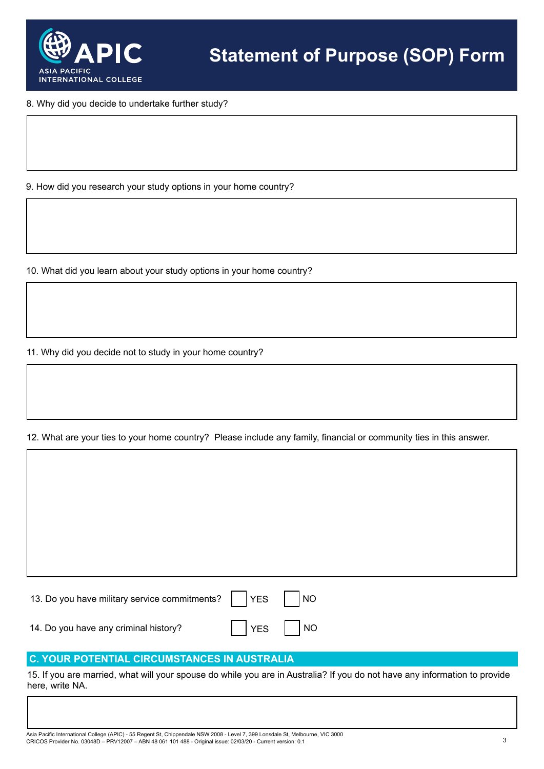

8. Why did you decide to undertake further study?

9. How did you research your study options in your home country?

10. What did you learn about your study options in your home country?

11. Why did you decide not to study in your home country?

12. What are your ties to your home country? Please include any family, financial or community ties in this answer.

13. Do you have military service commitments?  $\begin{array}{|c|c|c|c|c|c|c|c|c|} \hline \end{array}$  NO 14. Do you have any criminal history?  $\blacksquare$  | YES | | NO

# **C. YOUR POTENTIAL CIRCUMSTANCES IN AUSTRALIA**

15. If you are married, what will your spouse do while you are in Australia? If you do not have any information to provide here, write NA.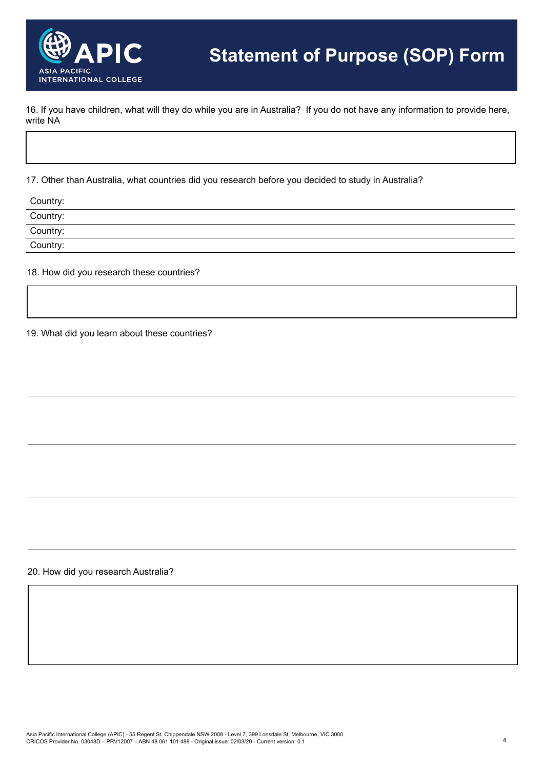

16. If you have children, what will they do while you are in Australia? If you do not have any information to provide here, write NA

17. Other than Australia, what countries did you research before you decided to study in Australia?

| Country: |  |
|----------|--|
| Country: |  |
| Country: |  |
| Country: |  |
|          |  |

18. How did you research these countries?

19. What did you learn about these countries?

20. How did you research Australia?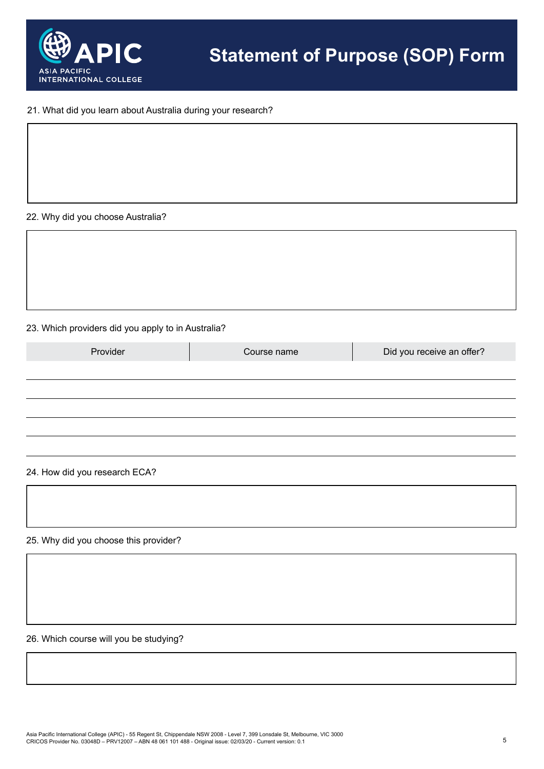

### 21. What did you learn about Australia during your research?

### 22. Why did you choose Australia?

### 23. Which providers did you apply to in Australia?

| Provider | Course name | Did you receive an offer? |
|----------|-------------|---------------------------|
|          |             |                           |
|          |             |                           |
|          |             |                           |
|          |             |                           |
|          |             |                           |

### 24. How did you research ECA?

25. Why did you choose this provider?

26. Which course will you be studying?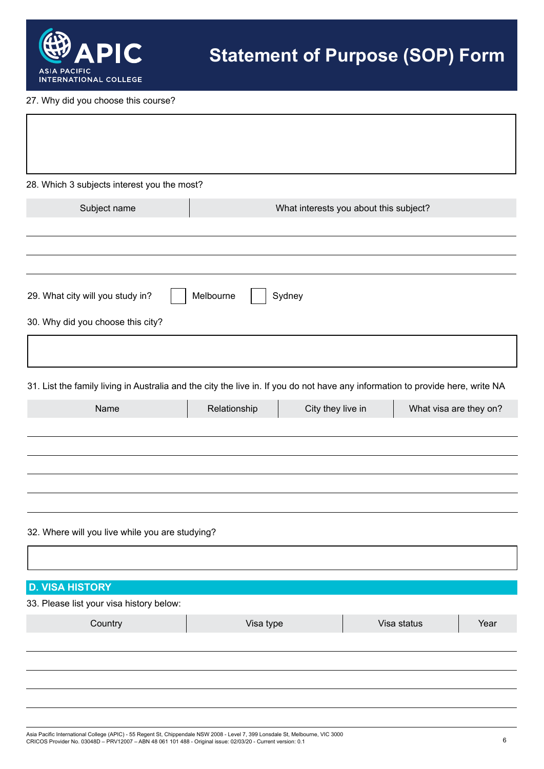

 $\overline{1}$ 

27. Why did you choose this course?

| 28. Which 3 subjects interest you the most?                                                                                    |                     |                   |                                        |                        |      |
|--------------------------------------------------------------------------------------------------------------------------------|---------------------|-------------------|----------------------------------------|------------------------|------|
| Subject name                                                                                                                   |                     |                   | What interests you about this subject? |                        |      |
|                                                                                                                                |                     |                   |                                        |                        |      |
|                                                                                                                                |                     |                   |                                        |                        |      |
| 29. What city will you study in?                                                                                               | Melbourne<br>Sydney |                   |                                        |                        |      |
| 30. Why did you choose this city?                                                                                              |                     |                   |                                        |                        |      |
|                                                                                                                                |                     |                   |                                        |                        |      |
|                                                                                                                                |                     |                   |                                        |                        |      |
| 31. List the family living in Australia and the city the live in. If you do not have any information to provide here, write NA |                     |                   |                                        |                        |      |
| Name                                                                                                                           | Relationship        | City they live in |                                        | What visa are they on? |      |
|                                                                                                                                |                     |                   |                                        |                        |      |
|                                                                                                                                |                     |                   |                                        |                        |      |
|                                                                                                                                |                     |                   |                                        |                        |      |
|                                                                                                                                |                     |                   |                                        |                        |      |
|                                                                                                                                |                     |                   |                                        |                        |      |
| 32. Where will you live while you are studying?                                                                                |                     |                   |                                        |                        |      |
|                                                                                                                                |                     |                   |                                        |                        |      |
| <b>D. VISA HISTORY</b>                                                                                                         |                     |                   |                                        |                        |      |
| 33. Please list your visa history below:                                                                                       |                     |                   |                                        |                        |      |
| Country                                                                                                                        | Visa type           |                   |                                        | Visa status            | Year |
|                                                                                                                                |                     |                   |                                        |                        |      |
|                                                                                                                                |                     |                   |                                        |                        |      |
|                                                                                                                                |                     |                   |                                        |                        |      |
|                                                                                                                                |                     |                   |                                        |                        |      |
|                                                                                                                                |                     |                   |                                        |                        |      |

٦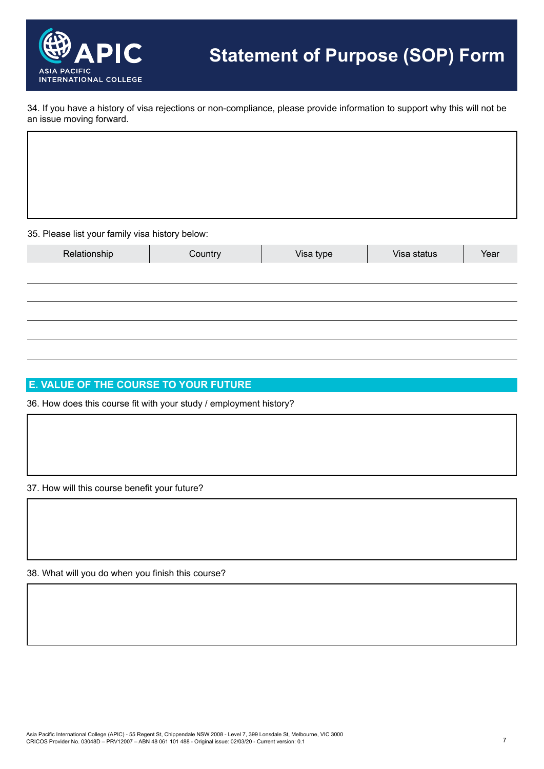

34. If you have a history of visa rejections or non-compliance, please provide information to support why this will not be an issue moving forward.

35. Please list your family visa history below:

|              | -       |           |             |      |
|--------------|---------|-----------|-------------|------|
| Relationship | Country | Visa type | Visa status | Year |
|              |         |           |             |      |
|              |         |           |             |      |
|              |         |           |             |      |
|              |         |           |             |      |
|              |         |           |             |      |
|              |         |           |             |      |

# **E. VALUE OF THE COURSE TO YOUR FUTURE**

36. How does this course fit with your study / employment history?

37. How will this course benefit your future?

38. What will you do when you finish this course?